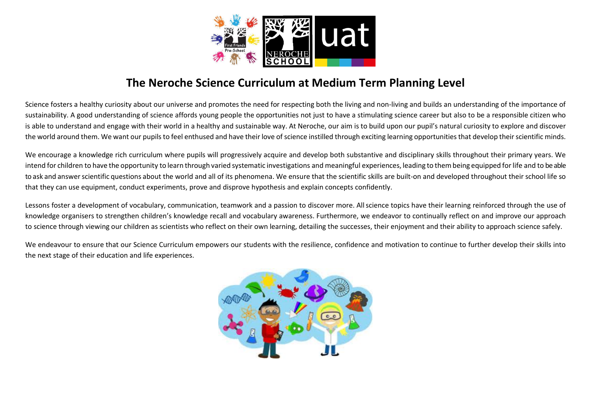

## The Neroche Science Curriculum at Medium Term Planning Level

Science fosters a healthy curiosity about our universe and promotes the need for respecting both the living and non-living and builds an understanding of the importance of sustainability. A good understanding of science affords young people the opportunities not just to have a stimulating science career but also to be a responsible citizen who is able to understand and engage with their world in a healthy and sustainable way. At Neroche, our aim is to build upon our pupil's natural curiosity to explore and discover the world around them. We want our pupils to feel enthused and have their love of science instilled through exciting learning opportunities that develop their scientific minds.

We encourage a knowledge rich curriculum where pupils will progressively acquire and develop both substantive and disciplinary skills throughout their primary years. We intend for children to have the opportunity to learn through varied systematic investigations and meaningful experiences, leading to thembeing equipped forlife and to be able to ask and answer scientific questions about the world and all of its phenomena. We ensure that the scientific skills are built-on and developed throughout their school life so that they can use equipment, conduct experiments, prove and disprove hypothesis and explain concepts confidently.

Lessons foster a development of vocabulary, communication, teamwork and a passion to discover more. Allscience topics have their learning reinforced through the use of knowledge organisers to strengthen children's knowledge recall and vocabulary awareness. Furthermore, we endeavor to continually reflect on and improve our approach to science through viewing our children as scientists who reflect on their own learning, detailing the successes, their enjoyment and their ability to approach science safely.

We endeavour to ensure that our Science Curriculum empowers our students with the resilience, confidence and motivation to continue to further develop their skills into the next stage of their education and life experiences.

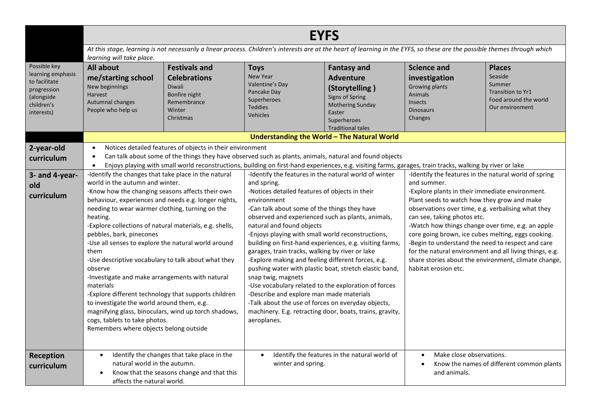|                                                                                                             | <b>EYFS</b>                                                                                                                                                                                                                                                                                                                                                                                                                                                                                                                                                                                                                                                                                                                                                                                                                                                      |                                                                                                              |                                                                                                                                                                                                                                                                                                                                                                                                                                                                                                                                                                                                                                                                                                                                                                                                                                                                                                                                                                                                                                                                                                |                                                                                                                                                             |                                                                                                                                                                                                                                                                                                                                                                                                                                                                                                                |                                                                                                     |  |
|-------------------------------------------------------------------------------------------------------------|------------------------------------------------------------------------------------------------------------------------------------------------------------------------------------------------------------------------------------------------------------------------------------------------------------------------------------------------------------------------------------------------------------------------------------------------------------------------------------------------------------------------------------------------------------------------------------------------------------------------------------------------------------------------------------------------------------------------------------------------------------------------------------------------------------------------------------------------------------------|--------------------------------------------------------------------------------------------------------------|------------------------------------------------------------------------------------------------------------------------------------------------------------------------------------------------------------------------------------------------------------------------------------------------------------------------------------------------------------------------------------------------------------------------------------------------------------------------------------------------------------------------------------------------------------------------------------------------------------------------------------------------------------------------------------------------------------------------------------------------------------------------------------------------------------------------------------------------------------------------------------------------------------------------------------------------------------------------------------------------------------------------------------------------------------------------------------------------|-------------------------------------------------------------------------------------------------------------------------------------------------------------|----------------------------------------------------------------------------------------------------------------------------------------------------------------------------------------------------------------------------------------------------------------------------------------------------------------------------------------------------------------------------------------------------------------------------------------------------------------------------------------------------------------|-----------------------------------------------------------------------------------------------------|--|
|                                                                                                             | learning will take place.                                                                                                                                                                                                                                                                                                                                                                                                                                                                                                                                                                                                                                                                                                                                                                                                                                        |                                                                                                              |                                                                                                                                                                                                                                                                                                                                                                                                                                                                                                                                                                                                                                                                                                                                                                                                                                                                                                                                                                                                                                                                                                |                                                                                                                                                             | At this stage, learning is not necessarily a linear process. Children's interests are at the heart of learning in the EYFS, so these are the possible themes through which                                                                                                                                                                                                                                                                                                                                     |                                                                                                     |  |
| Possible key<br>learning emphasis<br>to facilitate<br>progression<br>(alongside<br>children's<br>interests) | All about<br>me/starting school<br>New beginnings<br><b>Harvest</b><br>Autumnal changes<br>People who help us                                                                                                                                                                                                                                                                                                                                                                                                                                                                                                                                                                                                                                                                                                                                                    | <b>Festivals and</b><br><b>Celebrations</b><br>Diwali<br>Bonfire night<br>Remembrance<br>Winter<br>Christmas | <b>Toys</b><br>New Year<br>Valentine's Day<br>Pancake Day<br>Superheroes<br><b>Teddies</b><br>Vehicles                                                                                                                                                                                                                                                                                                                                                                                                                                                                                                                                                                                                                                                                                                                                                                                                                                                                                                                                                                                         | <b>Fantasy and</b><br><b>Adventure</b><br>(Storytelling)<br>Signs of Spring<br><b>Mothering Sunday</b><br>Easter<br>Superheroes<br><b>Traditional tales</b> | <b>Science and</b><br>investigation<br>Growing plants<br>Animals<br>Insects<br><b>Dinosaurs</b><br>Changes                                                                                                                                                                                                                                                                                                                                                                                                     | <b>Places</b><br>Seaside<br>Summer<br>Transition to Yr1<br>Food around the world<br>Our environment |  |
|                                                                                                             |                                                                                                                                                                                                                                                                                                                                                                                                                                                                                                                                                                                                                                                                                                                                                                                                                                                                  |                                                                                                              |                                                                                                                                                                                                                                                                                                                                                                                                                                                                                                                                                                                                                                                                                                                                                                                                                                                                                                                                                                                                                                                                                                | Understanding the World - The Natural World                                                                                                                 |                                                                                                                                                                                                                                                                                                                                                                                                                                                                                                                |                                                                                                     |  |
| 2-year-old<br>curriculum                                                                                    | $\bullet$<br>$\bullet$<br>$\bullet$                                                                                                                                                                                                                                                                                                                                                                                                                                                                                                                                                                                                                                                                                                                                                                                                                              |                                                                                                              |                                                                                                                                                                                                                                                                                                                                                                                                                                                                                                                                                                                                                                                                                                                                                                                                                                                                                                                                                                                                                                                                                                |                                                                                                                                                             |                                                                                                                                                                                                                                                                                                                                                                                                                                                                                                                |                                                                                                     |  |
| 3- and 4-year-<br>old<br>curriculum                                                                         | Notices detailed features of objects in their environment<br>-Identify the changes that take place in the natural<br>world in the autumn and winter.<br>-Know how the changing seasons affects their own<br>behaviour, experiences and needs e.g. longer nights,<br>needing to wear warmer clothing, turning on the<br>heating.<br>-Explore collections of natural materials, e.g. shells,<br>pebbles, bark, pinecones<br>-Use all senses to explore the natural world around<br>them<br>-Use descriptive vocabulary to talk about what they<br>observe<br>-Investigate and make arrangements with natural<br>materials<br>-Explore different technology that supports children<br>to investigate the world around them, e.g.<br>magnifying glass, binoculars, wind up torch shadows,<br>cogs, tablets to take photos.<br>Remembers where objects belong outside |                                                                                                              | Can talk about some of the things they have observed such as plants, animals, natural and found objects<br>Enjoys playing with small world reconstructions, building on first-hand experiences, e.g. visiting farms, garages, train tracks, walking by river or lake<br>-Identify the features in the natural world of winter<br>and spring.<br>-Notices detailed features of objects in their<br>environment<br>-Can talk about some of the things they have<br>observed and experienced such as plants, animals,<br>natural and found objects<br>-Enjoys playing with small world reconstructions,<br>building on first-hand experiences, e.g. visiting farms,<br>garages, train tracks, walking by river or lake<br>-Explore making and feeling different forces, e.g.<br>pushing water with plastic boat, stretch elastic band,<br>snap twig, magnets<br>-Use vocabulary related to the exploration of forces<br>-Describe and explore man made materials<br>-Talk about the use of forces on everyday objects,<br>machinery. E.g. retracting door, boats, trains, gravity,<br>aeroplanes. |                                                                                                                                                             | -Identify the features in the natural world of spring<br>and summer.<br>-Explore plants in their immediate environment.<br>Plant seeds to watch how they grow and make<br>observations over time, e.g. verbalising what they<br>can see, taking photos etc.<br>-Watch how things change over time, e.g. an apple<br>core going brown, ice cubes melting, eggs cooking.<br>-Begin to understand the need to respect and care<br>for the natural environment and all living things, e.g.<br>habitat erosion etc. | share stories about the environment, climate change,                                                |  |
| Reception<br>curriculum                                                                                     | $\bullet$<br>natural world in the autumn.<br>$\bullet$<br>affects the natural world.                                                                                                                                                                                                                                                                                                                                                                                                                                                                                                                                                                                                                                                                                                                                                                             | Identify the changes that take place in the<br>Know that the seasons change and that this                    | $\bullet$<br>winter and spring.                                                                                                                                                                                                                                                                                                                                                                                                                                                                                                                                                                                                                                                                                                                                                                                                                                                                                                                                                                                                                                                                | Identify the features in the natural world of                                                                                                               | Make close observations.<br>$\bullet$<br>and animals.                                                                                                                                                                                                                                                                                                                                                                                                                                                          | Know the names of different common plants                                                           |  |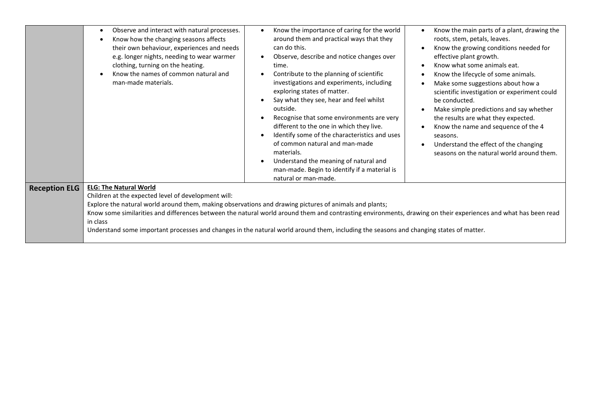|                      | Observe and interact with natural processes.<br>$\bullet$<br>Know how the changing seasons affects<br>their own behaviour, experiences and needs<br>e.g. longer nights, needing to wear warmer<br>clothing, turning on the heating.<br>Know the names of common natural and<br>man-made materials.                                                                                                                                                                                                                     | Know the importance of caring for the world<br>around them and practical ways that they<br>can do this.<br>Observe, describe and notice changes over<br>$\bullet$<br>time.<br>Contribute to the planning of scientific<br>investigations and experiments, including<br>exploring states of matter.<br>Say what they see, hear and feel whilst<br>outside.<br>Recognise that some environments are very<br>different to the one in which they live.<br>Identify some of the characteristics and uses<br>$\epsilon$<br>of common natural and man-made<br>materials.<br>Understand the meaning of natural and<br>$\bullet$<br>man-made. Begin to identify if a material is | Know the main parts of a plant, drawing the<br>roots, stem, petals, leaves.<br>Know the growing conditions needed for<br>effective plant growth.<br>Know what some animals eat.<br>Know the lifecycle of some animals.<br>Make some suggestions about how a<br>scientific investigation or experiment could<br>be conducted.<br>Make simple predictions and say whether<br>the results are what they expected.<br>Know the name and sequence of the 4<br>seasons.<br>Understand the effect of the changing<br>seasons on the natural world around them. |  |  |  |
|----------------------|------------------------------------------------------------------------------------------------------------------------------------------------------------------------------------------------------------------------------------------------------------------------------------------------------------------------------------------------------------------------------------------------------------------------------------------------------------------------------------------------------------------------|-------------------------------------------------------------------------------------------------------------------------------------------------------------------------------------------------------------------------------------------------------------------------------------------------------------------------------------------------------------------------------------------------------------------------------------------------------------------------------------------------------------------------------------------------------------------------------------------------------------------------------------------------------------------------|---------------------------------------------------------------------------------------------------------------------------------------------------------------------------------------------------------------------------------------------------------------------------------------------------------------------------------------------------------------------------------------------------------------------------------------------------------------------------------------------------------------------------------------------------------|--|--|--|
|                      |                                                                                                                                                                                                                                                                                                                                                                                                                                                                                                                        | natural or man-made.                                                                                                                                                                                                                                                                                                                                                                                                                                                                                                                                                                                                                                                    |                                                                                                                                                                                                                                                                                                                                                                                                                                                                                                                                                         |  |  |  |
| <b>Reception ELG</b> | <b>ELG: The Natural World</b><br>Children at the expected level of development will:<br>Explore the natural world around them, making observations and drawing pictures of animals and plants;<br>Know some similarities and differences between the natural world around them and contrasting environments, drawing on their experiences and what has been read<br>in class<br>Understand some important processes and changes in the natural world around them, including the seasons and changing states of matter. |                                                                                                                                                                                                                                                                                                                                                                                                                                                                                                                                                                                                                                                                         |                                                                                                                                                                                                                                                                                                                                                                                                                                                                                                                                                         |  |  |  |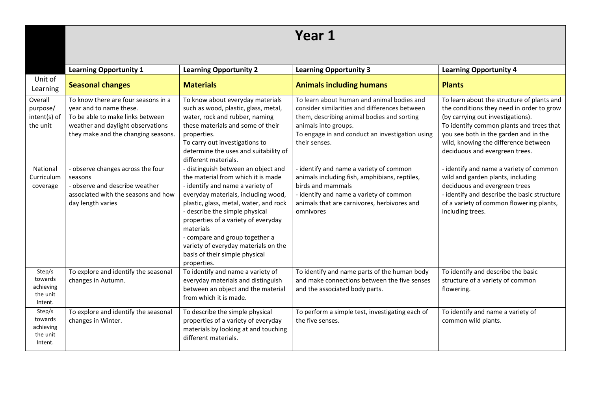|                                                       |                                                                                                                                                                                |                                                                                                                                                                                                                                                                                                                                                                                                                 | Year 1                                                                                                                                                                                                                                |                                                                                                                                                                                                                                                                                             |
|-------------------------------------------------------|--------------------------------------------------------------------------------------------------------------------------------------------------------------------------------|-----------------------------------------------------------------------------------------------------------------------------------------------------------------------------------------------------------------------------------------------------------------------------------------------------------------------------------------------------------------------------------------------------------------|---------------------------------------------------------------------------------------------------------------------------------------------------------------------------------------------------------------------------------------|---------------------------------------------------------------------------------------------------------------------------------------------------------------------------------------------------------------------------------------------------------------------------------------------|
|                                                       | <b>Learning Opportunity 1</b>                                                                                                                                                  | <b>Learning Opportunity 2</b>                                                                                                                                                                                                                                                                                                                                                                                   | <b>Learning Opportunity 3</b>                                                                                                                                                                                                         | <b>Learning Opportunity 4</b>                                                                                                                                                                                                                                                               |
| Unit of<br>Learning                                   | <b>Seasonal changes</b>                                                                                                                                                        | <b>Materials</b>                                                                                                                                                                                                                                                                                                                                                                                                | <b>Animals including humans</b>                                                                                                                                                                                                       | <b>Plants</b>                                                                                                                                                                                                                                                                               |
| Overall<br>purpose/<br>intent(s) of<br>the unit       | To know there are four seasons in a<br>year and to name these.<br>To be able to make links between<br>weather and daylight observations<br>they make and the changing seasons. | To know about everyday materials<br>such as wood, plastic, glass, metal,<br>water, rock and rubber, naming<br>these materials and some of their<br>properties.<br>To carry out investigations to<br>determine the uses and suitability of<br>different materials.                                                                                                                                               | To learn about human and animal bodies and<br>consider similarities and differences between<br>them, describing animal bodies and sorting<br>animals into groups.<br>To engage in and conduct an investigation using<br>their senses. | To learn about the structure of plants and<br>the conditions they need in order to grow<br>(by carrying out investigations).<br>To identify common plants and trees that<br>you see both in the garden and in the<br>wild, knowing the difference between<br>deciduous and evergreen trees. |
| National<br>Curriculum<br>coverage                    | - observe changes across the four<br>seasons<br>- observe and describe weather<br>associated with the seasons and how<br>day length varies                                     | - distinguish between an object and<br>the material from which it is made<br>- identify and name a variety of<br>everyday materials, including wood,<br>plastic, glass, metal, water, and rock<br>- describe the simple physical<br>properties of a variety of everyday<br>materials<br>- compare and group together a<br>variety of everyday materials on the<br>basis of their simple physical<br>properties. | - identify and name a variety of common<br>animals including fish, amphibians, reptiles,<br>birds and mammals<br>- identify and name a variety of common<br>animals that are carnivores, herbivores and<br>omnivores                  | - identify and name a variety of common<br>wild and garden plants, including<br>deciduous and evergreen trees<br>- identify and describe the basic structure<br>of a variety of common flowering plants,<br>including trees.                                                                |
| Step/s<br>towards<br>achieving<br>the unit<br>Intent. | To explore and identify the seasonal<br>changes in Autumn.                                                                                                                     | To identify and name a variety of<br>everyday materials and distinguish<br>between an object and the material<br>from which it is made.                                                                                                                                                                                                                                                                         | To identify and name parts of the human body<br>and make connections between the five senses<br>and the associated body parts.                                                                                                        | To identify and describe the basic<br>structure of a variety of common<br>flowering.                                                                                                                                                                                                        |
| Step/s<br>towards<br>achieving<br>the unit<br>Intent. | To explore and identify the seasonal<br>changes in Winter.                                                                                                                     | To describe the simple physical<br>properties of a variety of everyday<br>materials by looking at and touching<br>different materials.                                                                                                                                                                                                                                                                          | To perform a simple test, investigating each of<br>the five senses.                                                                                                                                                                   | To identify and name a variety of<br>common wild plants.                                                                                                                                                                                                                                    |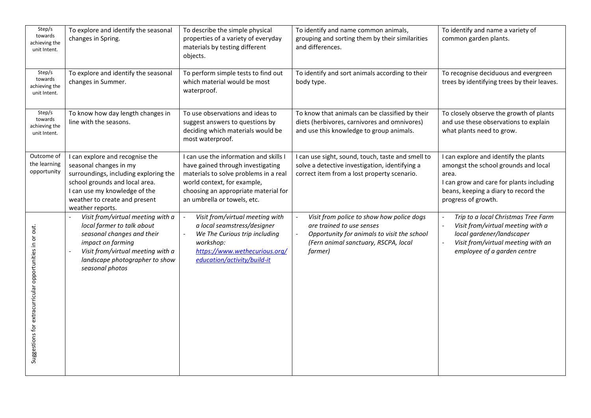| Step/s<br>towards<br>achieving the<br>unit Intent.<br>Step/s    | To explore and identify the seasonal<br>changes in Spring.                                                                                                                                                                 | To describe the simple physical<br>properties of a variety of everyday<br>materials by testing different<br>objects.                                                                                                       | To identify and name common animals,<br>grouping and sorting them by their similarities<br>and differences.                                                              | To identify and name a variety of<br>common garden plants.                                                                                                                                        |
|-----------------------------------------------------------------|----------------------------------------------------------------------------------------------------------------------------------------------------------------------------------------------------------------------------|----------------------------------------------------------------------------------------------------------------------------------------------------------------------------------------------------------------------------|--------------------------------------------------------------------------------------------------------------------------------------------------------------------------|---------------------------------------------------------------------------------------------------------------------------------------------------------------------------------------------------|
| towards<br>achieving the<br>unit Intent.                        | To explore and identify the seasonal<br>changes in Summer.                                                                                                                                                                 | To perform simple tests to find out<br>which material would be most<br>waterproof.                                                                                                                                         | To identify and sort animals according to their<br>body type.                                                                                                            | To recognise deciduous and evergreen<br>trees by identifying trees by their leaves.                                                                                                               |
| $\overline{Step/s}$<br>towards<br>achieving the<br>unit Intent. | To know how day length changes in<br>line with the seasons.                                                                                                                                                                | To use observations and ideas to<br>suggest answers to questions by<br>deciding which materials would be<br>most waterproof.                                                                                               | To know that animals can be classified by their<br>diets (herbivores, carnivores and omnivores)<br>and use this knowledge to group animals.                              | To closely observe the growth of plants<br>and use these observations to explain<br>what plants need to grow.                                                                                     |
| Outcome of<br>the learning<br>opportunity                       | I can explore and recognise the<br>seasonal changes in my<br>surroundings, including exploring the<br>school grounds and local area.<br>I can use my knowledge of the<br>weather to create and present<br>weather reports. | I can use the information and skills I<br>have gained through investigating<br>materials to solve problems in a real<br>world context, for example,<br>choosing an appropriate material for<br>an umbrella or towels, etc. | I can use sight, sound, touch, taste and smell to<br>solve a detective investigation, identifying a<br>correct item from a lost property scenario.                       | I can explore and identify the plants<br>amongst the school grounds and local<br>area.<br>I can grow and care for plants including<br>beans, keeping a diary to record the<br>progress of growth. |
| Suggestions for extracurricular opportunities in or out.        | Visit from/virtual meeting with a<br>local farmer to talk about<br>seasonal changes and their<br>impact on farming<br>Visit from/virtual meeting with a<br>landscape photographer to show<br>seasonal photos               | Visit from/virtual meeting with<br>$\overline{\phantom{a}}$<br>a local seamstress/designer<br>We The Curious trip including<br>workshop:<br>https://www.wethecurious.org/<br>education/activity/build-it                   | Visit from police to show how police dogs<br>are trained to use senses<br>Opportunity for animals to visit the school<br>(Fern animal sanctuary, RSCPA, local<br>farmer) | Trip to a local Christmas Tree Farm<br>Visit from/virtual meeting with a<br>local gardener/landscaper<br>Visit from/virtual meeting with an<br>employee of a garden centre                        |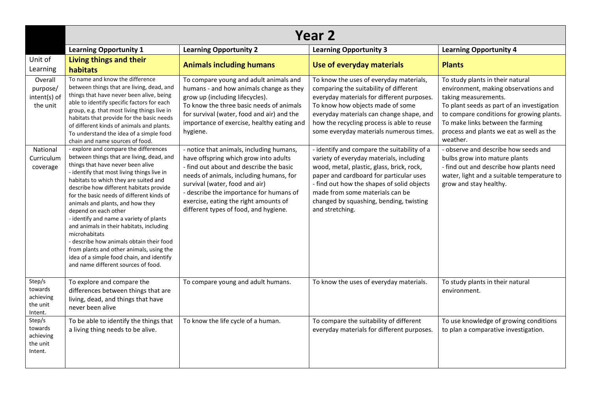|                                                       | <b>Year 2</b>                                                                                                                                                                                                                                                                                                                                                                                                                                                                                                                                                                                                                                          |                                                                                                                                                                                                                                                                                                                                        |                                                                                                                                                                                                                                                                                                                                |                                                                                                                                                                                                                                                                                          |  |  |
|-------------------------------------------------------|--------------------------------------------------------------------------------------------------------------------------------------------------------------------------------------------------------------------------------------------------------------------------------------------------------------------------------------------------------------------------------------------------------------------------------------------------------------------------------------------------------------------------------------------------------------------------------------------------------------------------------------------------------|----------------------------------------------------------------------------------------------------------------------------------------------------------------------------------------------------------------------------------------------------------------------------------------------------------------------------------------|--------------------------------------------------------------------------------------------------------------------------------------------------------------------------------------------------------------------------------------------------------------------------------------------------------------------------------|------------------------------------------------------------------------------------------------------------------------------------------------------------------------------------------------------------------------------------------------------------------------------------------|--|--|
|                                                       | <b>Learning Opportunity 1</b>                                                                                                                                                                                                                                                                                                                                                                                                                                                                                                                                                                                                                          | <b>Learning Opportunity 2</b>                                                                                                                                                                                                                                                                                                          | <b>Learning Opportunity 3</b>                                                                                                                                                                                                                                                                                                  | <b>Learning Opportunity 4</b>                                                                                                                                                                                                                                                            |  |  |
| Unit of<br>Learning                                   | Living things and their<br>habitats                                                                                                                                                                                                                                                                                                                                                                                                                                                                                                                                                                                                                    | <b>Animals including humans</b>                                                                                                                                                                                                                                                                                                        | Use of everyday materials                                                                                                                                                                                                                                                                                                      | <b>Plants</b>                                                                                                                                                                                                                                                                            |  |  |
| Overall<br>purpose/<br>intent(s) of<br>the unit       | To name and know the difference<br>between things that are living, dead, and<br>things that have never been alive, being<br>able to identify specific factors for each<br>group, e.g. that most living things live in<br>habitats that provide for the basic needs<br>of different kinds of animals and plants.<br>To understand the idea of a simple food<br>chain and name sources of food.                                                                                                                                                                                                                                                          | To compare young and adult animals and<br>humans - and how animals change as they<br>grow up (including lifecycles).<br>To know the three basic needs of animals<br>for survival (water, food and air) and the<br>importance of exercise, healthy eating and<br>hygiene.                                                               | To know the uses of everyday materials,<br>comparing the suitability of different<br>everyday materials for different purposes.<br>To know how objects made of some<br>everyday materials can change shape, and<br>how the recycling process is able to reuse<br>some everyday materials numerous times.                       | To study plants in their natural<br>environment, making observations and<br>taking measurements.<br>To plant seeds as part of an investigation<br>to compare conditions for growing plants.<br>To make links between the farming<br>process and plants we eat as well as the<br>weather. |  |  |
| National<br>Curriculum<br>coverage                    | - explore and compare the differences<br>between things that are living, dead, and<br>things that have never been alive<br>- identify that most living things live in<br>habitats to which they are suited and<br>describe how different habitats provide<br>for the basic needs of different kinds of<br>animals and plants, and how they<br>depend on each other<br>- identify and name a variety of plants<br>and animals in their habitats, including<br>microhabitats<br>- describe how animals obtain their food<br>from plants and other animals, using the<br>idea of a simple food chain, and identify<br>and name different sources of food. | - notice that animals, including humans,<br>have offspring which grow into adults<br>- find out about and describe the basic<br>needs of animals, including humans, for<br>survival (water, food and air)<br>- describe the importance for humans of<br>exercise, eating the right amounts of<br>different types of food, and hygiene. | - identify and compare the suitability of a<br>variety of everyday materials, including<br>wood, metal, plastic, glass, brick, rock,<br>paper and cardboard for particular uses<br>- find out how the shapes of solid objects<br>made from some materials can be<br>changed by squashing, bending, twisting<br>and stretching. | - observe and describe how seeds and<br>bulbs grow into mature plants<br>- find out and describe how plants need<br>water, light and a suitable temperature to<br>grow and stay healthy.                                                                                                 |  |  |
| Step/s<br>towards<br>achieving<br>the unit<br>Intent. | To explore and compare the<br>differences between things that are<br>living, dead, and things that have<br>never been alive                                                                                                                                                                                                                                                                                                                                                                                                                                                                                                                            | To compare young and adult humans.                                                                                                                                                                                                                                                                                                     | To know the uses of everyday materials.                                                                                                                                                                                                                                                                                        | To study plants in their natural<br>environment.                                                                                                                                                                                                                                         |  |  |
| Step/s<br>towards<br>achieving<br>the unit<br>Intent. | To be able to identify the things that<br>a living thing needs to be alive.                                                                                                                                                                                                                                                                                                                                                                                                                                                                                                                                                                            | To know the life cycle of a human.                                                                                                                                                                                                                                                                                                     | To compare the suitability of different<br>everyday materials for different purposes.                                                                                                                                                                                                                                          | To use knowledge of growing conditions<br>to plan a comparative investigation.                                                                                                                                                                                                           |  |  |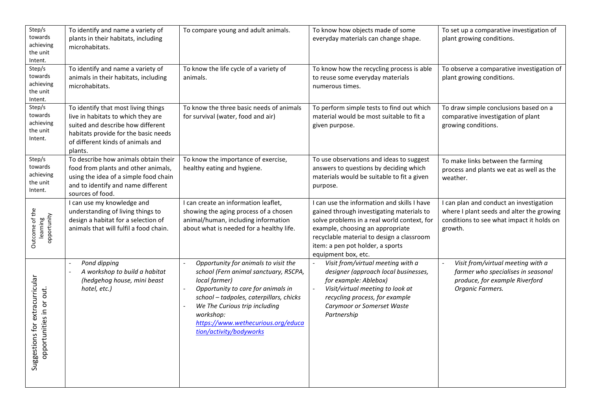| Step/s<br>towards<br>achieving<br>the unit<br>Intent.          | To identify and name a variety of<br>plants in their habitats, including<br>microhabitats.                                                                                                             | To compare young and adult animals.                                                                                                                                                                                                                                                            | To know how objects made of some<br>everyday materials can change shape.                                                                                                                                                                                                            | To set up a comparative investigation of<br>plant growing conditions.                                                                        |
|----------------------------------------------------------------|--------------------------------------------------------------------------------------------------------------------------------------------------------------------------------------------------------|------------------------------------------------------------------------------------------------------------------------------------------------------------------------------------------------------------------------------------------------------------------------------------------------|-------------------------------------------------------------------------------------------------------------------------------------------------------------------------------------------------------------------------------------------------------------------------------------|----------------------------------------------------------------------------------------------------------------------------------------------|
| Step/s<br>towards<br>achieving<br>the unit<br>Intent.          | To identify and name a variety of<br>animals in their habitats, including<br>microhabitats.                                                                                                            | To know the life cycle of a variety of<br>animals.                                                                                                                                                                                                                                             | To know how the recycling process is able<br>to reuse some everyday materials<br>numerous times.                                                                                                                                                                                    | To observe a comparative investigation of<br>plant growing conditions.                                                                       |
| Step/s<br>towards<br>achieving<br>the unit<br>Intent.          | To identify that most living things<br>live in habitats to which they are<br>suited and describe how different<br>habitats provide for the basic needs<br>of different kinds of animals and<br>plants. | To know the three basic needs of animals<br>for survival (water, food and air)                                                                                                                                                                                                                 | To perform simple tests to find out which<br>material would be most suitable to fit a<br>given purpose.                                                                                                                                                                             | To draw simple conclusions based on a<br>comparative investigation of plant<br>growing conditions.                                           |
| Step/s<br>towards<br>achieving<br>the unit<br>Intent.          | To describe how animals obtain their<br>food from plants and other animals,<br>using the idea of a simple food chain<br>and to identify and name different<br>sources of food.                         | To know the importance of exercise,<br>healthy eating and hygiene.                                                                                                                                                                                                                             | To use observations and ideas to suggest<br>answers to questions by deciding which<br>materials would be suitable to fit a given<br>purpose.                                                                                                                                        | To make links between the farming<br>process and plants we eat as well as the<br>weather.                                                    |
| Outcome of the<br>learning<br>opportunity                      | I can use my knowledge and<br>understanding of living things to<br>design a habitat for a selection of<br>animals that will fulfil a food chain.                                                       | I can create an information leaflet,<br>showing the aging process of a chosen<br>animal/human, including information<br>about what is needed for a healthy life.                                                                                                                               | I can use the information and skills I have<br>gained through investigating materials to<br>solve problems in a real world context, for<br>example, choosing an appropriate<br>recyclable material to design a classroom<br>item: a pen pot holder, a sports<br>equipment box, etc. | I can plan and conduct an investigation<br>where I plant seeds and alter the growing<br>conditions to see what impact it holds on<br>growth. |
| extracurricular<br>opportunities in or out.<br>Suggestions for | Pond dipping<br>$\blacksquare$<br>A workshop to build a habitat<br>(hedgehog house, mini beast<br>hotel, etc.)                                                                                         | Opportunity for animals to visit the<br>school (Fern animal sanctuary, RSCPA,<br>local farmer)<br>Opportunity to care for animals in<br>school - tadpoles, caterpillars, chicks<br>We The Curious trip including<br>workshop:<br>https://www.wethecurious.org/educa<br>tion/activity/bodyworks | Visit from/virtual meeting with a<br>designer (approach local businesses,<br>for example: Ablebox)<br>Visit/virtual meeting to look at<br>recycling process, for example<br>Carymoor or Somerset Waste<br>Partnership                                                               | Visit from/virtual meeting with a<br>farmer who specialises in seasonal<br>produce, for example Riverford<br>Organic Farmers.                |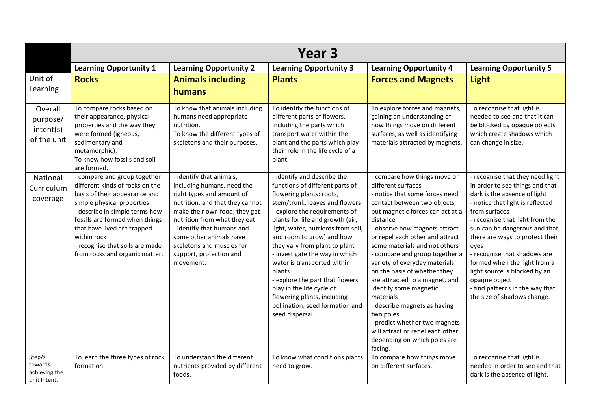|                                                    | Year 3                                                                                                                                                                                                                                                                                                                |                                                                                                                                                                                                                                                                                                                       |                                                                                                                                                                                                                                                                                                                                                                                                                                                                                                                                       |                                                                                                                                                                                                                                                                                                                                                                                                                                                                                                                                                                                                                     |                                                                                                                                                                                                                                                                                                                                                                                                                                                             |  |
|----------------------------------------------------|-----------------------------------------------------------------------------------------------------------------------------------------------------------------------------------------------------------------------------------------------------------------------------------------------------------------------|-----------------------------------------------------------------------------------------------------------------------------------------------------------------------------------------------------------------------------------------------------------------------------------------------------------------------|---------------------------------------------------------------------------------------------------------------------------------------------------------------------------------------------------------------------------------------------------------------------------------------------------------------------------------------------------------------------------------------------------------------------------------------------------------------------------------------------------------------------------------------|---------------------------------------------------------------------------------------------------------------------------------------------------------------------------------------------------------------------------------------------------------------------------------------------------------------------------------------------------------------------------------------------------------------------------------------------------------------------------------------------------------------------------------------------------------------------------------------------------------------------|-------------------------------------------------------------------------------------------------------------------------------------------------------------------------------------------------------------------------------------------------------------------------------------------------------------------------------------------------------------------------------------------------------------------------------------------------------------|--|
|                                                    | <b>Learning Opportunity 1</b>                                                                                                                                                                                                                                                                                         | <b>Learning Opportunity 2</b>                                                                                                                                                                                                                                                                                         | <b>Learning Opportunity 3</b>                                                                                                                                                                                                                                                                                                                                                                                                                                                                                                         | <b>Learning Opportunity 4</b>                                                                                                                                                                                                                                                                                                                                                                                                                                                                                                                                                                                       | <b>Learning Opportunity 5</b>                                                                                                                                                                                                                                                                                                                                                                                                                               |  |
| Unit of<br>Learning                                | <b>Rocks</b>                                                                                                                                                                                                                                                                                                          | <b>Animals including</b><br>humans                                                                                                                                                                                                                                                                                    | <b>Plants</b>                                                                                                                                                                                                                                                                                                                                                                                                                                                                                                                         | <b>Forces and Magnets</b>                                                                                                                                                                                                                                                                                                                                                                                                                                                                                                                                                                                           | <b>Light</b>                                                                                                                                                                                                                                                                                                                                                                                                                                                |  |
| Overall<br>purpose/<br>intent(s)<br>of the unit    | To compare rocks based on<br>their appearance, physical<br>properties and the way they<br>were formed (igneous,<br>sedimentary and<br>metamorphic).<br>To know how fossils and soil<br>are formed.                                                                                                                    | To know that animals including<br>humans need appropriate<br>nutrition.<br>To know the different types of<br>skeletons and their purposes.                                                                                                                                                                            | To identify the functions of<br>different parts of flowers,<br>including the parts which<br>transport water within the<br>plant and the parts which play<br>their role in the life cycle of a<br>plant.                                                                                                                                                                                                                                                                                                                               | To explore forces and magnets,<br>gaining an understanding of<br>how things move on different<br>surfaces, as well as identifying<br>materials attracted by magnets.                                                                                                                                                                                                                                                                                                                                                                                                                                                | To recognise that light is<br>needed to see and that it can<br>be blocked by opaque objects<br>which create shadows which<br>can change in size.                                                                                                                                                                                                                                                                                                            |  |
| National<br>Curriculum<br>coverage                 | - compare and group together<br>different kinds of rocks on the<br>basis of their appearance and<br>simple physical properties<br>- describe in simple terms how<br>fossils are formed when things<br>that have lived are trapped<br>within rock<br>- recognise that soils are made<br>from rocks and organic matter. | - identify that animals,<br>including humans, need the<br>right types and amount of<br>nutrition, and that they cannot<br>make their own food; they get<br>nutrition from what they eat<br>- identify that humans and<br>some other animals have<br>skeletons and muscles for<br>support, protection and<br>movement. | - identify and describe the<br>functions of different parts of<br>flowering plants: roots,<br>stem/trunk, leaves and flowers<br>- explore the requirements of<br>plants for life and growth (air,<br>light, water, nutrients from soil,<br>and room to grow) and how<br>they vary from plant to plant<br>- investigate the way in which<br>water is transported within<br>plants<br>- explore the part that flowers<br>play in the life cycle of<br>flowering plants, including<br>pollination, seed formation and<br>seed dispersal. | - compare how things move on<br>different surfaces<br>- notice that some forces need<br>contact between two objects,<br>but magnetic forces can act at a<br>distance<br>- observe how magnets attract<br>or repel each other and attract<br>some materials and not others<br>- compare and group together a<br>variety of everyday materials<br>on the basis of whether they<br>are attracted to a magnet, and<br>identify some magnetic<br>materials<br>- describe magnets as having<br>two poles<br>- predict whether two magnets<br>will attract or repel each other,<br>depending on which poles are<br>facing. | - recognise that they need light<br>in order to see things and that<br>dark is the absence of light<br>- notice that light is reflected<br>from surfaces<br>- recognise that light from the<br>sun can be dangerous and that<br>there are ways to protect their<br>eyes<br>- recognise that shadows are<br>formed when the light from a<br>light source is blocked by an<br>opaque object<br>- find patterns in the way that<br>the size of shadows change. |  |
| Step/s<br>towards<br>achieving the<br>unit Intent. | To learn the three types of rock<br>formation.                                                                                                                                                                                                                                                                        | To understand the different<br>nutrients provided by different<br>foods.                                                                                                                                                                                                                                              | To know what conditions plants<br>need to grow.                                                                                                                                                                                                                                                                                                                                                                                                                                                                                       | To compare how things move<br>on different surfaces.                                                                                                                                                                                                                                                                                                                                                                                                                                                                                                                                                                | To recognise that light is<br>needed in order to see and that<br>dark is the absence of light.                                                                                                                                                                                                                                                                                                                                                              |  |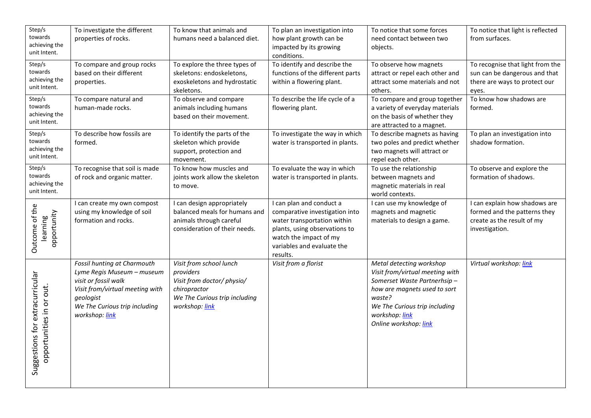| Step/s<br>towards<br>achieving the<br>unit Intent.          | To investigate the different<br>properties of rocks.                                                                                                                                 | To know that animals and<br>humans need a balanced diet.                                                                              | To plan an investigation into<br>how plant growth can be<br>impacted by its growing<br>conditions.                                                                                             | To notice that some forces<br>need contact between two<br>objects.                                                                                                                                               | To notice that light is reflected<br>from surfaces.                                                           |
|-------------------------------------------------------------|--------------------------------------------------------------------------------------------------------------------------------------------------------------------------------------|---------------------------------------------------------------------------------------------------------------------------------------|------------------------------------------------------------------------------------------------------------------------------------------------------------------------------------------------|------------------------------------------------------------------------------------------------------------------------------------------------------------------------------------------------------------------|---------------------------------------------------------------------------------------------------------------|
| Step/s<br>towards<br>achieving the<br>unit Intent.          | To compare and group rocks<br>based on their different<br>properties.                                                                                                                | To explore the three types of<br>skeletons: endoskeletons,<br>exoskeletons and hydrostatic<br>skeletons.                              | To identify and describe the<br>functions of the different parts<br>within a flowering plant.                                                                                                  | To observe how magnets<br>attract or repel each other and<br>attract some materials and not<br>others.                                                                                                           | To recognise that light from the<br>sun can be dangerous and that<br>there are ways to protect our<br>eyes.   |
| Step/s<br>towards<br>achieving the<br>unit Intent.          | To compare natural and<br>human-made rocks.                                                                                                                                          | To observe and compare<br>animals including humans<br>based on their movement.                                                        | To describe the life cycle of a<br>flowering plant.                                                                                                                                            | To compare and group together<br>a variety of everyday materials<br>on the basis of whether they<br>are attracted to a magnet.                                                                                   | To know how shadows are<br>formed.                                                                            |
| Step/s<br>towards<br>achieving the<br>unit Intent.          | To describe how fossils are<br>formed.                                                                                                                                               | To identify the parts of the<br>skeleton which provide<br>support, protection and<br>movement.                                        | To investigate the way in which<br>water is transported in plants.                                                                                                                             | To describe magnets as having<br>two poles and predict whether<br>two magnets will attract or<br>repel each other.                                                                                               | To plan an investigation into<br>shadow formation.                                                            |
| Step/s<br>towards<br>achieving the<br>unit Intent.          | To recognise that soil is made<br>of rock and organic matter.                                                                                                                        | To know how muscles and<br>joints work allow the skeleton<br>to move.                                                                 | To evaluate the way in which<br>water is transported in plants.                                                                                                                                | To use the relationship<br>between magnets and<br>magnetic materials in real<br>world contexts.                                                                                                                  | To observe and explore the<br>formation of shadows.                                                           |
| Outcome of the<br>opportunity<br>learning                   | I can create my own compost<br>using my knowledge of soil<br>formation and rocks.                                                                                                    | I can design appropriately<br>balanced meals for humans and<br>animals through careful<br>consideration of their needs.               | I can plan and conduct a<br>comparative investigation into<br>water transportation within<br>plants, using observations to<br>watch the impact of my<br>variables and evaluate the<br>results. | I can use my knowledge of<br>magnets and magnetic<br>materials to design a game.                                                                                                                                 | I can explain how shadows are<br>formed and the patterns they<br>create as the result of my<br>investigation. |
| Suggestions for extracurricular<br>opportunities in or out. | Fossil hunting at Charmouth<br>Lyme Regis Museum - museum<br>visit or fossil walk<br>Visit from/virtual meeting with<br>geologist<br>We The Curious trip including<br>workshop: link | Visit from school lunch<br>providers<br>Visit from doctor/ physio/<br>chiropractor<br>We The Curious trip including<br>workshop: link | Visit from a florist                                                                                                                                                                           | Metal detecting workshop<br>Visit from/virtual meeting with<br>Somerset Waste Partnerhsip-<br>how are magnets used to sort<br>waste?<br>We The Curious trip including<br>workshop: link<br>Online workshop: link | Virtual workshop: link                                                                                        |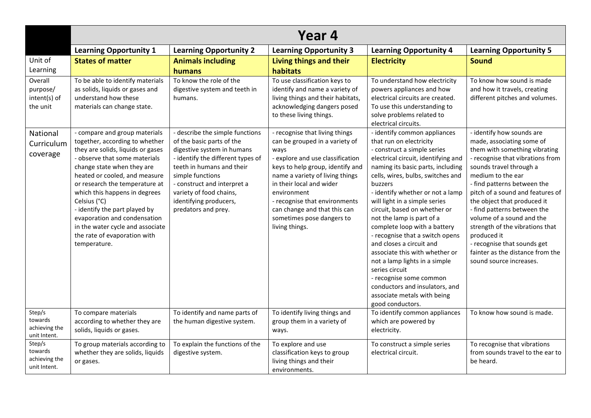|                                                    | Year 4                                                                                                                                                                                                                                                                                                                                                                                                                                       |                                                                                                                                                                                                                                                                                             |                                                                                                                                                                                                                                                                                                                                                |                                                                                                                                                                                                                                                                                                                                                                                                                                                                                                                                                                                                                                                          |                                                                                                                                                                                                                                                                                                                                                                                                                                                                                           |  |
|----------------------------------------------------|----------------------------------------------------------------------------------------------------------------------------------------------------------------------------------------------------------------------------------------------------------------------------------------------------------------------------------------------------------------------------------------------------------------------------------------------|---------------------------------------------------------------------------------------------------------------------------------------------------------------------------------------------------------------------------------------------------------------------------------------------|------------------------------------------------------------------------------------------------------------------------------------------------------------------------------------------------------------------------------------------------------------------------------------------------------------------------------------------------|----------------------------------------------------------------------------------------------------------------------------------------------------------------------------------------------------------------------------------------------------------------------------------------------------------------------------------------------------------------------------------------------------------------------------------------------------------------------------------------------------------------------------------------------------------------------------------------------------------------------------------------------------------|-------------------------------------------------------------------------------------------------------------------------------------------------------------------------------------------------------------------------------------------------------------------------------------------------------------------------------------------------------------------------------------------------------------------------------------------------------------------------------------------|--|
|                                                    | <b>Learning Opportunity 1</b>                                                                                                                                                                                                                                                                                                                                                                                                                | <b>Learning Opportunity 2</b>                                                                                                                                                                                                                                                               | <b>Learning Opportunity 3</b>                                                                                                                                                                                                                                                                                                                  | <b>Learning Opportunity 4</b>                                                                                                                                                                                                                                                                                                                                                                                                                                                                                                                                                                                                                            | <b>Learning Opportunity 5</b>                                                                                                                                                                                                                                                                                                                                                                                                                                                             |  |
| Unit of<br>Learning                                | <b>States of matter</b>                                                                                                                                                                                                                                                                                                                                                                                                                      | <b>Animals including</b><br>humans                                                                                                                                                                                                                                                          | Living things and their<br>habitats                                                                                                                                                                                                                                                                                                            | <b>Electricity</b>                                                                                                                                                                                                                                                                                                                                                                                                                                                                                                                                                                                                                                       | <b>Sound</b>                                                                                                                                                                                                                                                                                                                                                                                                                                                                              |  |
| Overall<br>purpose/<br>intent(s) of<br>the unit    | To be able to identify materials<br>as solids, liquids or gases and<br>understand how these<br>materials can change state.                                                                                                                                                                                                                                                                                                                   | To know the role of the<br>digestive system and teeth in<br>humans.                                                                                                                                                                                                                         | To use classification keys to<br>identify and name a variety of<br>living things and their habitats,<br>acknowledging dangers posed<br>to these living things.                                                                                                                                                                                 | To understand how electricity<br>powers appliances and how<br>electrical circuits are created.<br>To use this understanding to<br>solve problems related to<br>electrical circuits.                                                                                                                                                                                                                                                                                                                                                                                                                                                                      | To know how sound is made<br>and how it travels, creating<br>different pitches and volumes.                                                                                                                                                                                                                                                                                                                                                                                               |  |
| National<br>Curriculum<br>coverage                 | - compare and group materials<br>together, according to whether<br>they are solids, liquids or gases<br>- observe that some materials<br>change state when they are<br>heated or cooled, and measure<br>or research the temperature at<br>which this happens in degrees<br>Celsius (°C)<br>- identify the part played by<br>evaporation and condensation<br>in the water cycle and associate<br>the rate of evaporation with<br>temperature. | - describe the simple functions<br>of the basic parts of the<br>digestive system in humans<br>- identify the different types of<br>teeth in humans and their<br>simple functions<br>- construct and interpret a<br>variety of food chains,<br>identifying producers,<br>predators and prey. | - recognise that living things<br>can be grouped in a variety of<br>ways<br>- explore and use classification<br>keys to help group, identify and<br>name a variety of living things<br>in their local and wider<br>environment<br>- recognise that environments<br>can change and that this can<br>sometimes pose dangers to<br>living things. | - identify common appliances<br>that run on electricity<br>- construct a simple series<br>electrical circuit, identifying and<br>naming its basic parts, including<br>cells, wires, bulbs, switches and<br>buzzers<br>- identify whether or not a lamp<br>will light in a simple series<br>circuit, based on whether or<br>not the lamp is part of a<br>complete loop with a battery<br>- recognise that a switch opens<br>and closes a circuit and<br>associate this with whether or<br>not a lamp lights in a simple<br>series circuit<br>- recognise some common<br>conductors and insulators, and<br>associate metals with being<br>good conductors. | - identify how sounds are<br>made, associating some of<br>them with something vibrating<br>- recognise that vibrations from<br>sounds travel through a<br>medium to the ear<br>- find patterns between the<br>pitch of a sound and features of<br>the object that produced it<br>- find patterns between the<br>volume of a sound and the<br>strength of the vibrations that<br>produced it<br>- recognise that sounds get<br>fainter as the distance from the<br>sound source increases. |  |
| Step/s<br>towards<br>achieving the<br>unit Intent. | To compare materials<br>according to whether they are<br>solids, liquids or gases.                                                                                                                                                                                                                                                                                                                                                           | To identify and name parts of<br>the human digestive system.                                                                                                                                                                                                                                | To identify living things and<br>group them in a variety of<br>ways.                                                                                                                                                                                                                                                                           | To identify common appliances<br>which are powered by<br>electricity.                                                                                                                                                                                                                                                                                                                                                                                                                                                                                                                                                                                    | To know how sound is made.                                                                                                                                                                                                                                                                                                                                                                                                                                                                |  |
| Step/s<br>towards<br>achieving the<br>unit Intent. | To group materials according to<br>whether they are solids, liquids<br>or gases.                                                                                                                                                                                                                                                                                                                                                             | To explain the functions of the<br>digestive system.                                                                                                                                                                                                                                        | To explore and use<br>classification keys to group<br>living things and their<br>environments.                                                                                                                                                                                                                                                 | To construct a simple series<br>electrical circuit.                                                                                                                                                                                                                                                                                                                                                                                                                                                                                                                                                                                                      | To recognise that vibrations<br>from sounds travel to the ear to<br>be heard.                                                                                                                                                                                                                                                                                                                                                                                                             |  |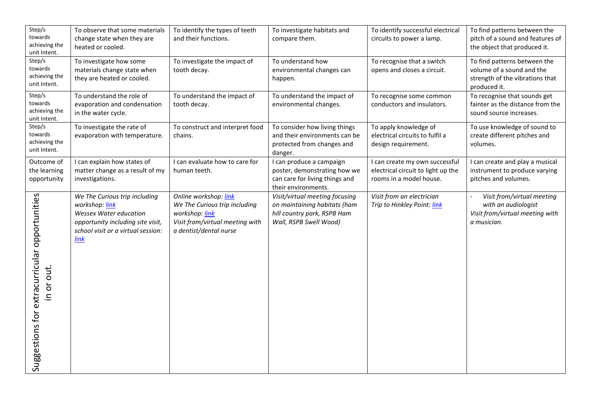| Step/s<br>towards<br>achieving the<br>unit Intent.          | To observe that some materials<br>change state when they are<br>heated or cooled.                                                                                          | To identify the types of teeth<br>and their functions.                                                                                | To investigate habitats and<br>compare them.                                                                            | To identify successful electrical<br>circuits to power a lamp.                                  | To find patterns between the<br>pitch of a sound and features of<br>the object that produced it.             |
|-------------------------------------------------------------|----------------------------------------------------------------------------------------------------------------------------------------------------------------------------|---------------------------------------------------------------------------------------------------------------------------------------|-------------------------------------------------------------------------------------------------------------------------|-------------------------------------------------------------------------------------------------|--------------------------------------------------------------------------------------------------------------|
| Step/s<br>towards<br>achieving the<br>unit Intent.          | To investigate how some<br>materials change state when<br>they are heated or cooled.                                                                                       | To investigate the impact of<br>tooth decay.                                                                                          | To understand how<br>environmental changes can<br>happen.                                                               | To recognise that a switch<br>opens and closes a circuit.                                       | To find patterns between the<br>volume of a sound and the<br>strength of the vibrations that<br>produced it. |
| Step/s<br>towards<br>achieving the<br>unit Intent.          | To understand the role of<br>evaporation and condensation<br>in the water cycle.                                                                                           | To understand the impact of<br>tooth decay.                                                                                           | To understand the impact of<br>environmental changes.                                                                   | To recognise some common<br>conductors and insulators.                                          | To recognise that sounds get<br>fainter as the distance from the<br>sound source increases.                  |
| Step/s<br>towards<br>achieving the<br>unit Intent.          | To investigate the rate of<br>evaporation with temperature.                                                                                                                | To construct and interpret food<br>chains.                                                                                            | To consider how living things<br>and their environments can be<br>protected from changes and<br>danger.                 | To apply knowledge of<br>electrical circuits to fulfil a<br>design requirement.                 | To use knowledge of sound to<br>create different pitches and<br>volumes.                                     |
| Outcome of<br>the learning<br>opportunity                   | I can explain how states of<br>matter change as a result of my<br>investigations.                                                                                          | I can evaluate how to care for<br>human teeth.                                                                                        | I can produce a campaign<br>poster, demonstrating how we<br>can care for living things and<br>their environments.       | I can create my own successful<br>electrical circuit to light up the<br>rooms in a model house. | I can create and play a musical<br>instrument to produce varying<br>pitches and volumes.                     |
| Suggestions for extracurricular opportunities<br>in or out. | We The Curious trip including<br>workshop: link<br><b>Wessex Water education</b><br>opportunity including site visit,<br>school visit or a virtual session:<br><b>link</b> | Online workshop: link<br>We The Curious trip including<br>workshop: link<br>Visit from/virtual meeting with<br>a dentist/dental nurse | Visit/virtual meeting focusing<br>on maintaining habitats (ham<br>hill country park, RSPB Ham<br>Wall, RSPB Swell Wood) | Visit from an electrician<br>Trip to Hinkley Point: link                                        | Visit from/virtual meeting<br>with an audiologist<br>Visit from/virtual meeting with<br>a musician.          |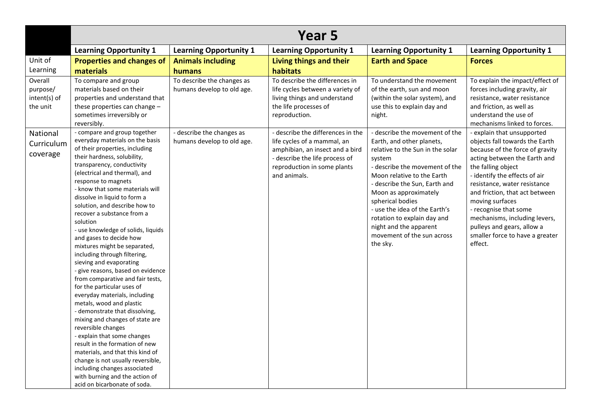|                                                 | Year 5                                                                                                                                                                                                                                                                                                                                                                                                                                                                                                                                                                                                                                                                                                                                                                                                                                                                                                                                                                                                                                      |                                                          |                                                                                                                                                                                      |                                                                                                                                                                                                                                                                                                                                                                                             |                                                                                                                                                                                                                                                                                                                                                                                                                   |  |
|-------------------------------------------------|---------------------------------------------------------------------------------------------------------------------------------------------------------------------------------------------------------------------------------------------------------------------------------------------------------------------------------------------------------------------------------------------------------------------------------------------------------------------------------------------------------------------------------------------------------------------------------------------------------------------------------------------------------------------------------------------------------------------------------------------------------------------------------------------------------------------------------------------------------------------------------------------------------------------------------------------------------------------------------------------------------------------------------------------|----------------------------------------------------------|--------------------------------------------------------------------------------------------------------------------------------------------------------------------------------------|---------------------------------------------------------------------------------------------------------------------------------------------------------------------------------------------------------------------------------------------------------------------------------------------------------------------------------------------------------------------------------------------|-------------------------------------------------------------------------------------------------------------------------------------------------------------------------------------------------------------------------------------------------------------------------------------------------------------------------------------------------------------------------------------------------------------------|--|
|                                                 | <b>Learning Opportunity 1</b>                                                                                                                                                                                                                                                                                                                                                                                                                                                                                                                                                                                                                                                                                                                                                                                                                                                                                                                                                                                                               | <b>Learning Opportunity 1</b>                            | <b>Learning Opportunity 1</b>                                                                                                                                                        | <b>Learning Opportunity 1</b>                                                                                                                                                                                                                                                                                                                                                               | <b>Learning Opportunity 1</b>                                                                                                                                                                                                                                                                                                                                                                                     |  |
| Unit of                                         | <b>Properties and changes of</b>                                                                                                                                                                                                                                                                                                                                                                                                                                                                                                                                                                                                                                                                                                                                                                                                                                                                                                                                                                                                            | <b>Animals including</b>                                 | Living things and their                                                                                                                                                              | <b>Earth and Space</b>                                                                                                                                                                                                                                                                                                                                                                      | <b>Forces</b>                                                                                                                                                                                                                                                                                                                                                                                                     |  |
| Learning                                        | materials                                                                                                                                                                                                                                                                                                                                                                                                                                                                                                                                                                                                                                                                                                                                                                                                                                                                                                                                                                                                                                   | humans                                                   | habitats                                                                                                                                                                             |                                                                                                                                                                                                                                                                                                                                                                                             |                                                                                                                                                                                                                                                                                                                                                                                                                   |  |
| Overall<br>purpose/<br>intent(s) of<br>the unit | To compare and group<br>materials based on their<br>properties and understand that<br>these properties can change -<br>sometimes irreversibly or<br>reversibly.                                                                                                                                                                                                                                                                                                                                                                                                                                                                                                                                                                                                                                                                                                                                                                                                                                                                             | To describe the changes as<br>humans develop to old age. | To describe the differences in<br>life cycles between a variety of<br>living things and understand<br>the life processes of<br>reproduction.                                         | To understand the movement<br>of the earth, sun and moon<br>(within the solar system), and<br>use this to explain day and<br>night.                                                                                                                                                                                                                                                         | To explain the impact/effect of<br>forces including gravity, air<br>resistance, water resistance<br>and friction, as well as<br>understand the use of<br>mechanisms linked to forces.                                                                                                                                                                                                                             |  |
| National<br>Curriculum<br>coverage              | - compare and group together<br>everyday materials on the basis<br>of their properties, including<br>their hardness, solubility,<br>transparency, conductivity<br>(electrical and thermal), and<br>response to magnets<br>- know that some materials will<br>dissolve in liquid to form a<br>solution, and describe how to<br>recover a substance from a<br>solution<br>- use knowledge of solids, liquids<br>and gases to decide how<br>mixtures might be separated,<br>including through filtering,<br>sieving and evaporating<br>- give reasons, based on evidence<br>from comparative and fair tests,<br>for the particular uses of<br>everyday materials, including<br>metals, wood and plastic<br>- demonstrate that dissolving,<br>mixing and changes of state are<br>reversible changes<br>- explain that some changes<br>result in the formation of new<br>materials, and that this kind of<br>change is not usually reversible,<br>including changes associated<br>with burning and the action of<br>acid on bicarbonate of soda. | - describe the changes as<br>humans develop to old age.  | - describe the differences in the<br>life cycles of a mammal, an<br>amphibian, an insect and a bird<br>- describe the life process of<br>reproduction in some plants<br>and animals. | - describe the movement of the<br>Earth, and other planets,<br>relative to the Sun in the solar<br>system<br>- describe the movement of the<br>Moon relative to the Earth<br>- describe the Sun, Earth and<br>Moon as approximately<br>spherical bodies<br>- use the idea of the Earth's<br>rotation to explain day and<br>night and the apparent<br>movement of the sun across<br>the sky. | - explain that unsupported<br>objects fall towards the Earth<br>because of the force of gravity<br>acting between the Earth and<br>the falling object<br>- identify the effects of air<br>resistance, water resistance<br>and friction, that act between<br>moving surfaces<br>- recognise that some<br>mechanisms, including levers,<br>pulleys and gears, allow a<br>smaller force to have a greater<br>effect. |  |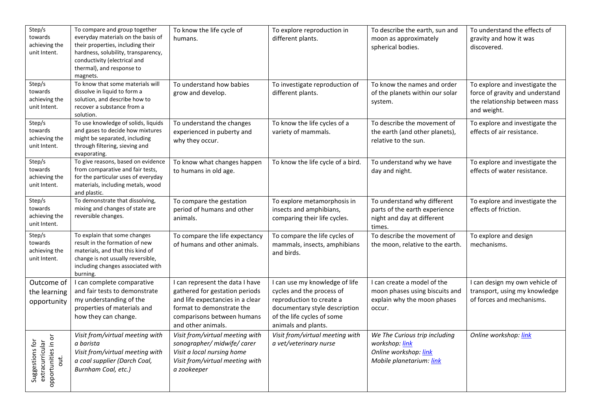| Step/s<br>towards<br>achieving the<br>unit Intent.        | To compare and group together<br>everyday materials on the basis of<br>their properties, including their<br>hardness, solubility, transparency,<br>conductivity (electrical and<br>thermal), and response to<br>magnets. | To know the life cycle of<br>humans.                                                                                                                                                   | To explore reproduction in<br>different plants.                                                                                                                               | To describe the earth, sun and<br>moon as approximately<br>spherical bodies.                           | To understand the effects of<br>gravity and how it was<br>discovered.                                             |
|-----------------------------------------------------------|--------------------------------------------------------------------------------------------------------------------------------------------------------------------------------------------------------------------------|----------------------------------------------------------------------------------------------------------------------------------------------------------------------------------------|-------------------------------------------------------------------------------------------------------------------------------------------------------------------------------|--------------------------------------------------------------------------------------------------------|-------------------------------------------------------------------------------------------------------------------|
| Step/s<br>towards<br>achieving the<br>unit Intent.        | To know that some materials will<br>dissolve in liquid to form a<br>solution, and describe how to<br>recover a substance from a<br>solution.                                                                             | To understand how babies<br>grow and develop.                                                                                                                                          | To investigate reproduction of<br>different plants.                                                                                                                           | To know the names and order<br>of the planets within our solar<br>system.                              | To explore and investigate the<br>force of gravity and understand<br>the relationship between mass<br>and weight. |
| Step/s<br>towards<br>achieving the<br>unit Intent.        | To use knowledge of solids, liquids<br>and gases to decide how mixtures<br>might be separated, including<br>through filtering, sieving and<br>evaporating.                                                               | To understand the changes<br>experienced in puberty and<br>why they occur.                                                                                                             | To know the life cycles of a<br>variety of mammals.                                                                                                                           | To describe the movement of<br>the earth (and other planets),<br>relative to the sun.                  | To explore and investigate the<br>effects of air resistance.                                                      |
| Step/s<br>towards<br>achieving the<br>unit Intent.        | To give reasons, based on evidence<br>from comparative and fair tests,<br>for the particular uses of everyday<br>materials, including metals, wood<br>and plastic.                                                       | To know what changes happen<br>to humans in old age.                                                                                                                                   | To know the life cycle of a bird.                                                                                                                                             | To understand why we have<br>day and night.                                                            | To explore and investigate the<br>effects of water resistance.                                                    |
| Step/s<br>towards<br>achieving the<br>unit Intent.        | To demonstrate that dissolving,<br>mixing and changes of state are<br>reversible changes.                                                                                                                                | To compare the gestation<br>period of humans and other<br>animals.                                                                                                                     | To explore metamorphosis in<br>insects and amphibians,<br>comparing their life cycles.                                                                                        | To understand why different<br>parts of the earth experience<br>night and day at different<br>times.   | To explore and investigate the<br>effects of friction.                                                            |
| Step/s<br>towards<br>achieving the<br>unit Intent.        | To explain that some changes<br>result in the formation of new<br>materials, and that this kind of<br>change is not usually reversible,<br>including changes associated with<br>burning.                                 | To compare the life expectancy<br>of humans and other animals.                                                                                                                         | To compare the life cycles of<br>mammals, insects, amphibians<br>and birds.                                                                                                   | To describe the movement of<br>the moon, relative to the earth.                                        | To explore and design<br>mechanisms.                                                                              |
| Outcome of<br>the learning<br>opportunity                 | I can complete comparative<br>and fair tests to demonstrate<br>my understanding of the<br>properties of materials and<br>how they can change.                                                                            | I can represent the data I have<br>gathered for gestation periods<br>and life expectancies in a clear<br>format to demonstrate the<br>comparisons between humans<br>and other animals. | I can use my knowledge of life<br>cycles and the process of<br>reproduction to create a<br>documentary style description<br>of the life cycles of some<br>animals and plants. | I can create a model of the<br>moon phases using biscuits and<br>explain why the moon phases<br>occur. | I can design my own vehicle of<br>transport, using my knowledge<br>of forces and mechanisms.                      |
| opportunities in or<br>extracurricular<br>Suggestions for | Visit from/virtual meeting with<br>a barista<br>Visit from/virtual meeting with<br>a coal supplier (Darch Coal,<br>Burnham Coal, etc.)                                                                                   | Visit from/virtual meeting with<br>sonographer/ midwife/ carer<br>Visit a local nursing home<br>Visit from/virtual meeting with<br>a zookeeper                                         | Visit from/virtual meeting with<br>a vet/veterinary nurse                                                                                                                     | We The Curious trip including<br>workshop: link<br>Online workshop: link<br>Mobile planetarium: link   | Online workshop: link                                                                                             |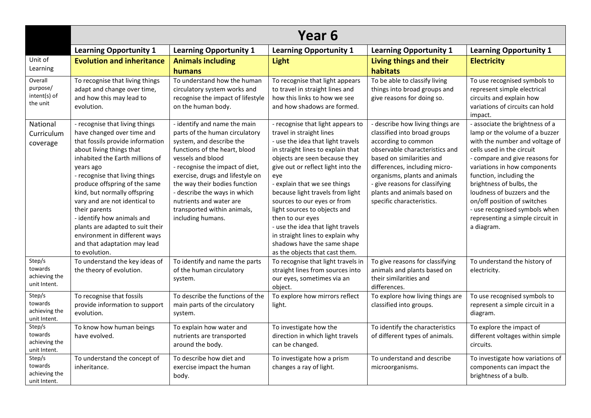|                                                    | Year 6                                                                                                                                                                                                                                                                                                                                                                                                                                                                                |                                                                                                                                                                                                                                                                                                                                                                         |                                                                                                                                                                                                                                                                                                                                                                                                                                                                                                                        |                                                                                                                                                                                                                                                                                                                        |                                                                                                                                                                                                                                                                                                                                                                                                            |  |  |
|----------------------------------------------------|---------------------------------------------------------------------------------------------------------------------------------------------------------------------------------------------------------------------------------------------------------------------------------------------------------------------------------------------------------------------------------------------------------------------------------------------------------------------------------------|-------------------------------------------------------------------------------------------------------------------------------------------------------------------------------------------------------------------------------------------------------------------------------------------------------------------------------------------------------------------------|------------------------------------------------------------------------------------------------------------------------------------------------------------------------------------------------------------------------------------------------------------------------------------------------------------------------------------------------------------------------------------------------------------------------------------------------------------------------------------------------------------------------|------------------------------------------------------------------------------------------------------------------------------------------------------------------------------------------------------------------------------------------------------------------------------------------------------------------------|------------------------------------------------------------------------------------------------------------------------------------------------------------------------------------------------------------------------------------------------------------------------------------------------------------------------------------------------------------------------------------------------------------|--|--|
|                                                    | <b>Learning Opportunity 1</b>                                                                                                                                                                                                                                                                                                                                                                                                                                                         | <b>Learning Opportunity 1</b>                                                                                                                                                                                                                                                                                                                                           | <b>Learning Opportunity 1</b>                                                                                                                                                                                                                                                                                                                                                                                                                                                                                          | <b>Learning Opportunity 1</b>                                                                                                                                                                                                                                                                                          | <b>Learning Opportunity 1</b>                                                                                                                                                                                                                                                                                                                                                                              |  |  |
| Unit of<br>Learning                                | <b>Evolution and inheritance</b>                                                                                                                                                                                                                                                                                                                                                                                                                                                      | <b>Animals including</b><br>humans                                                                                                                                                                                                                                                                                                                                      | <b>Light</b>                                                                                                                                                                                                                                                                                                                                                                                                                                                                                                           | Living things and their<br>habitats                                                                                                                                                                                                                                                                                    | <b>Electricity</b>                                                                                                                                                                                                                                                                                                                                                                                         |  |  |
| Overall<br>purpose/<br>intent(s) of<br>the unit    | To recognise that living things<br>adapt and change over time,<br>and how this may lead to<br>evolution.                                                                                                                                                                                                                                                                                                                                                                              | To understand how the human<br>circulatory system works and<br>recognise the impact of lifestyle<br>on the human body.                                                                                                                                                                                                                                                  | To recognise that light appears<br>to travel in straight lines and<br>how this links to how we see<br>and how shadows are formed.                                                                                                                                                                                                                                                                                                                                                                                      | To be able to classify living<br>things into broad groups and<br>give reasons for doing so.                                                                                                                                                                                                                            | To use recognised symbols to<br>represent simple electrical<br>circuits and explain how<br>variations of circuits can hold<br>impact.                                                                                                                                                                                                                                                                      |  |  |
| National<br>Curriculum<br>coverage                 | - recognise that living things<br>have changed over time and<br>that fossils provide information<br>about living things that<br>inhabited the Earth millions of<br>years ago<br>- recognise that living things<br>produce offspring of the same<br>kind, but normally offspring<br>vary and are not identical to<br>their parents<br>- identify how animals and<br>plants are adapted to suit their<br>environment in different ways<br>and that adaptation may lead<br>to evolution. | - identify and name the main<br>parts of the human circulatory<br>system, and describe the<br>functions of the heart, blood<br>vessels and blood<br>- recognise the impact of diet,<br>exercise, drugs and lifestyle on<br>the way their bodies function<br>- describe the ways in which<br>nutrients and water are<br>transported within animals,<br>including humans. | - recognise that light appears to<br>travel in straight lines<br>- use the idea that light travels<br>in straight lines to explain that<br>objects are seen because they<br>give out or reflect light into the<br>eye<br>- explain that we see things<br>because light travels from light<br>sources to our eyes or from<br>light sources to objects and<br>then to our eyes<br>- use the idea that light travels<br>in straight lines to explain why<br>shadows have the same shape<br>as the objects that cast them. | - describe how living things are<br>classified into broad groups<br>according to common<br>observable characteristics and<br>based on similarities and<br>differences, including micro-<br>organisms, plants and animals<br>- give reasons for classifying<br>plants and animals based on<br>specific characteristics. | - associate the brightness of a<br>lamp or the volume of a buzzer<br>with the number and voltage of<br>cells used in the circuit<br>- compare and give reasons for<br>variations in how components<br>function, including the<br>brightness of bulbs, the<br>loudness of buzzers and the<br>on/off position of switches<br>- use recognised symbols when<br>representing a simple circuit in<br>a diagram. |  |  |
| Step/s<br>towards<br>achieving the<br>unit Intent. | To understand the key ideas of<br>the theory of evolution.                                                                                                                                                                                                                                                                                                                                                                                                                            | To identify and name the parts<br>of the human circulatory<br>system.                                                                                                                                                                                                                                                                                                   | To recognise that light travels in<br>straight lines from sources into<br>our eyes, sometimes via an<br>object.                                                                                                                                                                                                                                                                                                                                                                                                        | To give reasons for classifying<br>animals and plants based on<br>their similarities and<br>differences.                                                                                                                                                                                                               | To understand the history of<br>electricity.                                                                                                                                                                                                                                                                                                                                                               |  |  |
| Step/s<br>towards<br>achieving the<br>unit Intent. | To recognise that fossils<br>provide information to support<br>evolution.                                                                                                                                                                                                                                                                                                                                                                                                             | To describe the functions of the<br>main parts of the circulatory<br>system.                                                                                                                                                                                                                                                                                            | To explore how mirrors reflect<br>light.                                                                                                                                                                                                                                                                                                                                                                                                                                                                               | To explore how living things are<br>classified into groups.                                                                                                                                                                                                                                                            | To use recognised symbols to<br>represent a simple circuit in a<br>diagram.                                                                                                                                                                                                                                                                                                                                |  |  |
| Step/s<br>towards<br>achieving the<br>unit Intent. | To know how human beings<br>have evolved.                                                                                                                                                                                                                                                                                                                                                                                                                                             | To explain how water and<br>nutrients are transported<br>around the body.                                                                                                                                                                                                                                                                                               | To investigate how the<br>direction in which light travels<br>can be changed.                                                                                                                                                                                                                                                                                                                                                                                                                                          | To identify the characteristics<br>of different types of animals.                                                                                                                                                                                                                                                      | To explore the impact of<br>different voltages within simple<br>circuits.                                                                                                                                                                                                                                                                                                                                  |  |  |
| Step/s<br>towards<br>achieving the<br>unit Intent. | To understand the concept of<br>inheritance.                                                                                                                                                                                                                                                                                                                                                                                                                                          | To describe how diet and<br>exercise impact the human<br>body.                                                                                                                                                                                                                                                                                                          | To investigate how a prism<br>changes a ray of light.                                                                                                                                                                                                                                                                                                                                                                                                                                                                  | To understand and describe<br>microorganisms.                                                                                                                                                                                                                                                                          | To investigate how variations of<br>components can impact the<br>brightness of a bulb.                                                                                                                                                                                                                                                                                                                     |  |  |